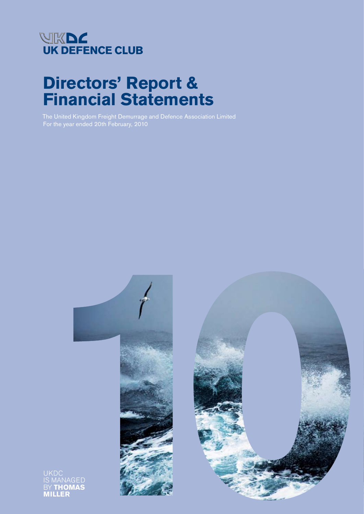

# **Directors' Report & Financial Statements**

The United Kingdom Freight Demurrage and Defence Association Limited For the year ended 20th February, 2010





UKDC BY **THOMAS MILLER**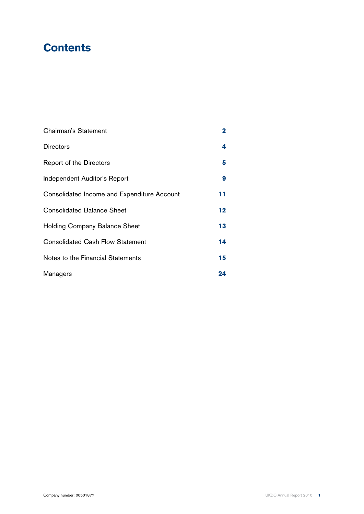### **Contents**

| Chairman's Statement                        | $\overline{2}$ |
|---------------------------------------------|----------------|
| <b>Directors</b>                            | 4              |
| Report of the Directors                     | 5              |
| Independent Auditor's Report                | 9              |
| Consolidated Income and Expenditure Account | 11             |
| <b>Consolidated Balance Sheet</b>           | 12             |
| Holding Company Balance Sheet               | 13             |
| <b>Consolidated Cash Flow Statement</b>     | 14             |
| Notes to the Financial Statements           | 15             |
| Managers                                    | 24             |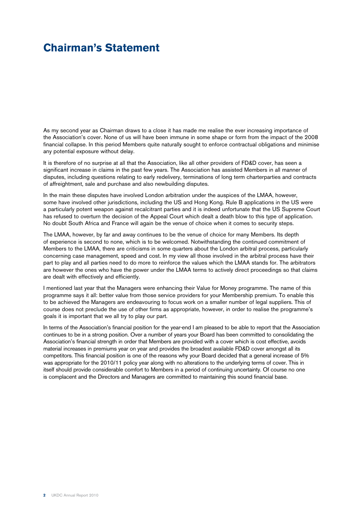### **Chairman's Statement**

As my second year as Chairman draws to a close it has made me realise the ever increasing importance of the Association's cover. None of us will have been immune in some shape or form from the impact of the 2008 financial collapse. In this period Members quite naturally sought to enforce contractual obligations and minimise any potential exposure without delay.

It is therefore of no surprise at all that the Association, like all other providers of FD&D cover, has seen a significant increase in claims in the past few years. The Association has assisted Members in all manner of disputes, including questions relating to early redelivery, terminations of long term charterparties and contracts of affreightment, sale and purchase and also newbuilding disputes.

In the main these disputes have involved London arbitration under the auspices of the LMAA, however, some have involved other jurisdictions, including the US and Hong Kong. Rule B applications in the US were a particularly potent weapon against recalcitrant parties and it is indeed unfortunate that the US Supreme Court has refused to overturn the decision of the Appeal Court which dealt a death blow to this type of application. No doubt South Africa and France will again be the venue of choice when it comes to security steps.

The LMAA, however, by far and away continues to be the venue of choice for many Members. Its depth of experience is second to none, which is to be welcomed. Notwithstanding the continued commitment of Members to the LMAA, there are criticisms in some quarters about the London arbitral process, particularly concerning case management, speed and cost. In my view all those involved in the arbitral process have their part to play and all parties need to do more to reinforce the values which the LMAA stands for. The arbitrators are however the ones who have the power under the LMAA terms to actively direct proceedings so that claims are dealt with effectively and efficiently.

I mentioned last year that the Managers were enhancing their Value for Money programme. The name of this programme says it all: better value from those service providers for your Membership premium. To enable this to be achieved the Managers are endeavouring to focus work on a smaller number of legal suppliers. This of course does not preclude the use of other firms as appropriate, however, in order to realise the programme's goals it is important that we all try to play our part.

In terms of the Association's financial position for the year-end I am pleased to be able to report that the Association continues to be in a strong position. Over a number of years your Board has been committed to consolidating the Association's financial strength in order that Members are provided with a cover which is cost effective, avoids material increases in premiums year on year and provides the broadest available FD&D cover amongst all its competitors. This financial position is one of the reasons why your Board decided that a general increase of 5% was appropriate for the 2010/11 policy year along with no alterations to the underlying terms of cover. This in itself should provide considerable comfort to Members in a period of continuing uncertainty. Of course no one is complacent and the Directors and Managers are committed to maintaining this sound financial base.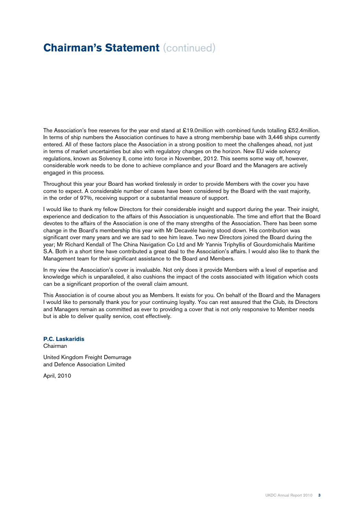### **Chairman's Statement (continued)**

The Association's free reserves for the year end stand at £19.0million with combined funds totalling £52.4million. In terms of ship numbers the Association continues to have a strong membership base with 3,446 ships currently entered. All of these factors place the Association in a strong position to meet the challenges ahead, not just in terms of market uncertainties but also with regulatory changes on the horizon. New EU wide solvency regulations, known as Solvency II, come into force in November, 2012. This seems some way off, however, considerable work needs to be done to achieve compliance and your Board and the Managers are actively engaged in this process.

Throughout this year your Board has worked tirelessly in order to provide Members with the cover you have come to expect. A considerable number of cases have been considered by the Board with the vast majority, in the order of 97%, receiving support or a substantial measure of support.

I would like to thank my fellow Directors for their considerable insight and support during the year. Their insight, experience and dedication to the affairs of this Association is unquestionable. The time and effort that the Board devotes to the affairs of the Association is one of the many strengths of the Association. There has been some change in the Board's membership this year with Mr Decavèle having stood down. His contribution was significant over many years and we are sad to see him leave. Two new Directors joined the Board during the year; Mr Richard Kendall of The China Navigation Co Ltd and Mr Yannis Triphyllis of Gourdomichalis Maritime S.A. Both in a short time have contributed a great deal to the Association's affairs. I would also like to thank the Management team for their significant assistance to the Board and Members.

In my view the Association's cover is invaluable. Not only does it provide Members with a level of expertise and knowledge which is unparalleled, it also cushions the impact of the costs associated with litigation which costs can be a significant proportion of the overall claim amount.

This Association is of course about you as Members. It exists for you. On behalf of the Board and the Managers I would like to personally thank you for your continuing loyalty. You can rest assured that the Club, its Directors and Managers remain as committed as ever to providing a cover that is not only responsive to Member needs but is able to deliver quality service, cost effectively.

**P.C. Laskaridis** Chairman

United Kingdom Freight Demurrage and Defence Association Limited

April, 2010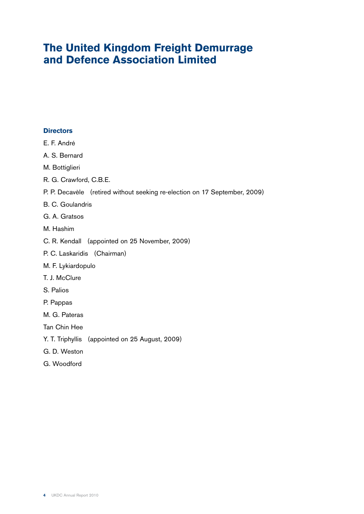### **The United Kingdom Freight Demurrage and Defence Association Limited**

#### **Directors**

- E. F. André
- A. S. Bernard
- M. Bottiglieri
- R. G. Crawford, C.B.E.
- P. P. Decavèle (retired without seeking re-election on 17 September, 2009)
- B. C. Goulandris
- G. A. Gratsos
- M. Hashim
- C. R. Kendall (appointed on 25 November, 2009)
- P. C. Laskaridis (Chairman)
- M. F. Lykiardopulo
- T. J. McClure
- S. Palios
- P. Pappas
- M. G. Pateras
- Tan Chin Hee
- Y. T. Triphyllis (appointed on 25 August, 2009)
- G. D. Weston
- G. Woodford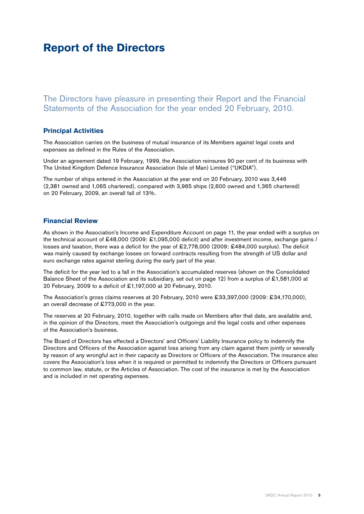### **Report of the Directors**

The Directors have pleasure in presenting their Report and the Financial Statements of the Association for the year ended 20 February, 2010.

#### **Principal Activities**

The Association carries on the business of mutual insurance of its Members against legal costs and expenses as defined in the Rules of the Association.

Under an agreement dated 19 February, 1999, the Association reinsures 90 per cent of its business with The United Kingdom Defence Insurance Association (Isle of Man) Limited ("UKDIA").

The number of ships entered in the Association at the year end on 20 February, 2010 was 3,446 (2,381 owned and 1,065 chartered), compared with 3,965 ships (2,600 owned and 1,365 chartered) on 20 February, 2009, an overall fall of 13%.

#### **Financial Review**

As shown in the Association's Income and Expenditure Account on page 11, the year ended with a surplus on the technical account of £48,000 (2009: £1,095,000 deficit) and after investment income, exchange gains / losses and taxation, there was a deficit for the year of £2,778,000 (2009: £484,000 surplus). The deficit was mainly caused by exchange losses on forward contracts resulting from the strength of US dollar and euro exchange rates against sterling during the early part of the year.

The deficit for the year led to a fall in the Association's accumulated reserves (shown on the Consolidated Balance Sheet of the Association and its subsidiary, set out on page 12) from a surplus of £1,581,000 at 20 February, 2009 to a deficit of £1,197,000 at 20 February, 2010.

The Association's gross claims reserves at 20 February, 2010 were £33,397,000 (2009: £34,170,000), an overall decrease of £773,000 in the year.

The reserves at 20 February, 2010, together with calls made on Members after that date, are available and, in the opinion of the Directors, meet the Association's outgoings and the legal costs and other expenses of the Association's business.

The Board of Directors has effected a Directors' and Officers' Liability Insurance policy to indemnify the Directors and Officers of the Association against loss arising from any claim against them jointly or severally by reason of any wrongful act in their capacity as Directors or Officers of the Association. The insurance also covers the Association's loss when it is required or permitted to indemnify the Directors or Officers pursuant to common law, statute, or the Articles of Association. The cost of the insurance is met by the Association and is included in net operating expenses.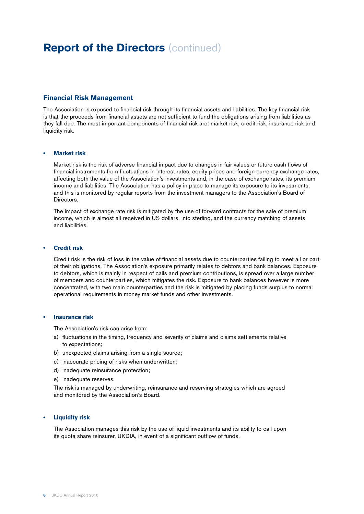### **Report of the Directors (continued)**

#### **Financial Risk Management**

The Association is exposed to financial risk through its financial assets and liabilities. The key financial risk is that the proceeds from financial assets are not sufficient to fund the obligations arising from liabilities as they fall due. The most important components of financial risk are: market risk, credit risk, insurance risk and liquidity risk.

#### **• Market risk**

 Market risk is the risk of adverse financial impact due to changes in fair values or future cash flows of financial instruments from fluctuations in interest rates, equity prices and foreign currency exchange rates, affecting both the value of the Association's investments and, in the case of exchange rates, its premium income and liabilities. The Association has a policy in place to manage its exposure to its investments, and this is monitored by regular reports from the investment managers to the Association's Board of Directors.

 The impact of exchange rate risk is mitigated by the use of forward contracts for the sale of premium income, which is almost all received in US dollars, into sterling, and the currency matching of assets and liabilities.

#### **• Credit risk**

 Credit risk is the risk of loss in the value of financial assets due to counterparties failing to meet all or part of their obligations. The Association's exposure primarily relates to debtors and bank balances. Exposure to debtors, which is mainly in respect of calls and premium contributions, is spread over a large number of members and counterparties, which mitigates the risk. Exposure to bank balances however is more concentrated, with two main counterparties and the risk is mitigated by placing funds surplus to normal operational requirements in money market funds and other investments.

#### **• Insurance risk**

The Association's risk can arise from:

- a) fluctuations in the timing, frequency and severity of claims and claims settlements relative to expectations;
- b) unexpected claims arising from a single source;
- c) inaccurate pricing of risks when underwritten;
- d) inadequate reinsurance protection;
- e) inadequate reserves.

 The risk is managed by underwriting, reinsurance and reserving strategies which are agreed and monitored by the Association's Board.

#### **• Liquidity risk**

 The Association manages this risk by the use of liquid investments and its ability to call upon its quota share reinsurer, UKDIA, in event of a significant outflow of funds.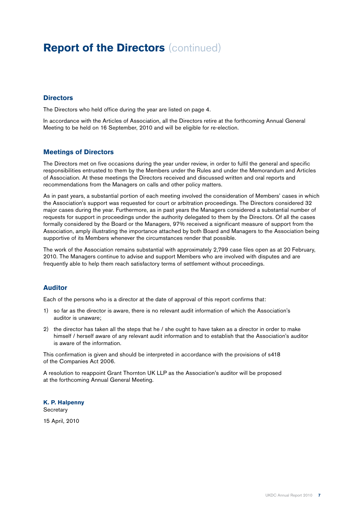### **Report of the Directors** (continued)

#### **Directors**

The Directors who held office during the year are listed on page 4.

In accordance with the Articles of Association, all the Directors retire at the forthcoming Annual General Meeting to be held on 16 September, 2010 and will be eligible for re-election.

#### **Meetings of Directors**

The Directors met on five occasions during the year under review, in order to fulfil the general and specific responsibilities entrusted to them by the Members under the Rules and under the Memorandum and Articles of Association. At these meetings the Directors received and discussed written and oral reports and recommendations from the Managers on calls and other policy matters.

As in past years, a substantial portion of each meeting involved the consideration of Members' cases in which the Association's support was requested for court or arbitration proceedings. The Directors considered 32 major cases during the year. Furthermore, as in past years the Managers considered a substantial number of requests for support in proceedings under the authority delegated to them by the Directors. Of all the cases formally considered by the Board or the Managers, 97% received a significant measure of support from the Association, amply illustrating the importance attached by both Board and Managers to the Association being supportive of its Members whenever the circumstances render that possible.

The work of the Association remains substantial with approximately 2,799 case files open as at 20 February, 2010. The Managers continue to advise and support Members who are involved with disputes and are frequently able to help them reach satisfactory terms of settlement without proceedings.

#### **Auditor**

Each of the persons who is a director at the date of approval of this report confirms that:

- 1) so far as the director is aware, there is no relevant audit information of which the Association's auditor is unaware;
- 2) the director has taken all the steps that he / she ought to have taken as a director in order to make himself / herself aware of any relevant audit information and to establish that the Association's auditor is aware of the information.

This confirmation is given and should be interpreted in accordance with the provisions of s418 of the Companies Act 2006.

A resolution to reappoint Grant Thornton UK LLP as the Association's auditor will be proposed at the forthcoming Annual General Meeting.

**K. P. Halpenny Secretary** 

15 April, 2010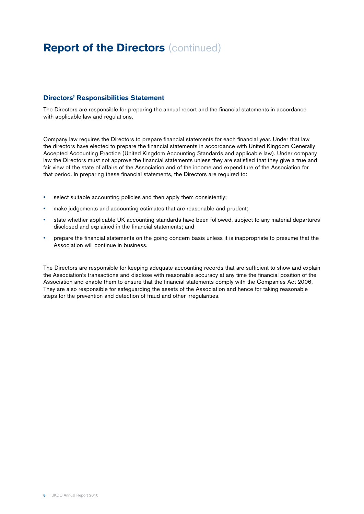### **Report of the Directors** (continued)

#### **Directors' Responsibilities Statement**

The Directors are responsible for preparing the annual report and the financial statements in accordance with applicable law and regulations.

Company law requires the Directors to prepare financial statements for each financial year. Under that law the directors have elected to prepare the financial statements in accordance with United Kingdom Generally Accepted Accounting Practice (United Kingdom Accounting Standards and applicable law). Under company law the Directors must not approve the financial statements unless they are satisfied that they give a true and fair view of the state of affairs of the Association and of the income and expenditure of the Association for that period. In preparing these financial statements, the Directors are required to:

- select suitable accounting policies and then apply them consistently;
- make judgements and accounting estimates that are reasonable and prudent;
- state whether applicable UK accounting standards have been followed, subject to any material departures disclosed and explained in the financial statements; and
- prepare the financial statements on the going concern basis unless it is inappropriate to presume that the Association will continue in business.

The Directors are responsible for keeping adequate accounting records that are sufficient to show and explain the Association's transactions and disclose with reasonable accuracy at any time the financial position of the Association and enable them to ensure that the financial statements comply with the Companies Act 2006. They are also responsible for safeguarding the assets of the Association and hence for taking reasonable steps for the prevention and detection of fraud and other irregularities.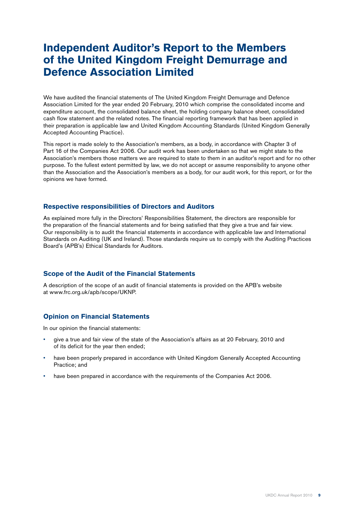### **Independent Auditor's Report to the Members of the United Kingdom Freight Demurrage and Defence Association Limited**

We have audited the financial statements of The United Kingdom Freight Demurrage and Defence Association Limited for the year ended 20 February, 2010 which comprise the consolidated income and expenditure account, the consolidated balance sheet, the holding company balance sheet, consolidated cash flow statement and the related notes. The financial reporting framework that has been applied in their preparation is applicable law and United Kingdom Accounting Standards (United Kingdom Generally Accepted Accounting Practice).

This report is made solely to the Association's members, as a body, in accordance with Chapter 3 of Part 16 of the Companies Act 2006. Our audit work has been undertaken so that we might state to the Association's members those matters we are required to state to them in an auditor's report and for no other purpose. To the fullest extent permitted by law, we do not accept or assume responsibility to anyone other than the Association and the Association's members as a body, for our audit work, for this report, or for the opinions we have formed.

#### **Respective responsibilities of Directors and Auditors**

As explained more fully in the Directors' Responsibilities Statement, the directors are responsible for the preparation of the financial statements and for being satisfied that they give a true and fair view. Our responsibility is to audit the financial statements in accordance with applicable law and International Standards on Auditing (UK and Ireland). Those standards require us to comply with the Auditing Practices Board's (APB's) Ethical Standards for Auditors.

#### **Scope of the Audit of the Financial Statements**

A description of the scope of an audit of financial statements is provided on the APB's website at www.frc.org.uk/apb/scope/UKNP.

#### **Opinion on Financial Statements**

In our opinion the financial statements:

- give a true and fair view of the state of the Association's affairs as at 20 February, 2010 and of its deficit for the year then ended;
- have been properly prepared in accordance with United Kingdom Generally Accepted Accounting Practice; and
- have been prepared in accordance with the requirements of the Companies Act 2006.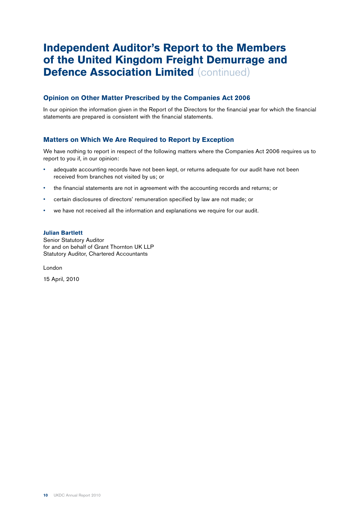### **Independent Auditor's Report to the Members of the United Kingdom Freight Demurrage and Defence Association Limited (continued)**

#### **Opinion on Other Matter Prescribed by the Companies Act 2006**

In our opinion the information given in the Report of the Directors for the financial year for which the financial statements are prepared is consistent with the financial statements.

#### **Matters on Which We Are Required to Report by Exception**

We have nothing to report in respect of the following matters where the Companies Act 2006 requires us to report to you if, in our opinion:

- adequate accounting records have not been kept, or returns adequate for our audit have not been received from branches not visited by us; or
- the financial statements are not in agreement with the accounting records and returns; or
- certain disclosures of directors' remuneration specified by law are not made; or
- we have not received all the information and explanations we require for our audit.

#### **Julian Bartlett**

Senior Statutory Auditor for and on behalf of Grant Thornton UK LLP Statutory Auditor, Chartered Accountants

London

15 April, 2010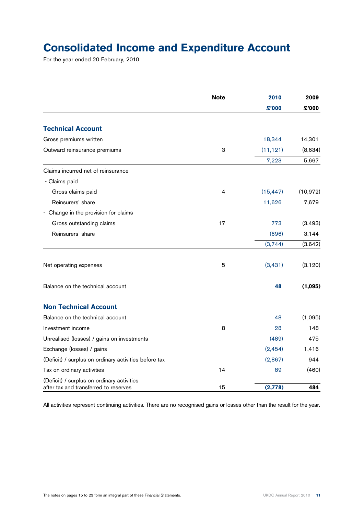## **Consolidated Income and Expenditure Account**

For the year ended 20 February, 2010

|                                                                                     | <b>Note</b> | 2010      | 2009      |
|-------------------------------------------------------------------------------------|-------------|-----------|-----------|
|                                                                                     |             | £'000     | £'000     |
| <b>Technical Account</b>                                                            |             |           |           |
| Gross premiums written                                                              |             | 18,344    | 14,301    |
| Outward reinsurance premiums                                                        | 3           | (11, 121) | (8,634)   |
|                                                                                     |             | 7,223     | 5,667     |
| Claims incurred net of reinsurance                                                  |             |           |           |
| - Claims paid                                                                       |             |           |           |
| Gross claims paid                                                                   | 4           | (15, 447) | (10, 972) |
| Reinsurers' share                                                                   |             | 11,626    | 7,679     |
| - Change in the provision for claims                                                |             |           |           |
| Gross outstanding claims                                                            | 17          | 773       | (3, 493)  |
| Reinsurers' share                                                                   |             | (696)     | 3,144     |
|                                                                                     |             | (3,744)   | (3,642)   |
| Net operating expenses                                                              | 5           | (3, 431)  | (3, 120)  |
| Balance on the technical account                                                    |             | 48        | (1,095)   |
| <b>Non Technical Account</b>                                                        |             |           |           |
| Balance on the technical account                                                    |             | 48        | (1,095)   |
| Investment income                                                                   | 8           | 28        | 148       |
| Unrealised (losses) / gains on investments                                          |             | (489)     | 475       |
| Exchange (losses) / gains                                                           |             | (2, 454)  | 1,416     |
| (Deficit) / surplus on ordinary activities before tax                               |             | (2,867)   | 944       |
| Tax on ordinary activities                                                          | 14          | 89        | (460)     |
| (Deficit) / surplus on ordinary activities<br>after tax and transferred to reserves | 15          | (2,778)   | 484       |

All activities represent continuing activities. There are no recognised gains or losses other than the result for the year.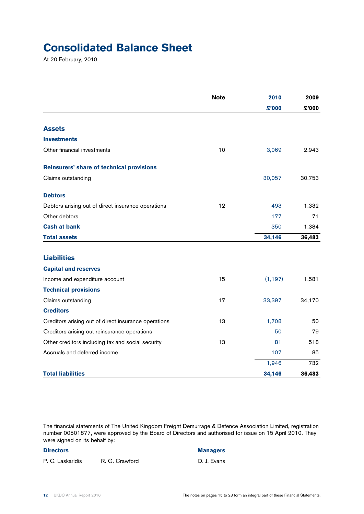### **Consolidated Balance Sheet**

At 20 February, 2010

|                                                      | <b>Note</b> | 2010     | 2009   |
|------------------------------------------------------|-------------|----------|--------|
|                                                      |             | £'000    | £'000  |
| <b>Assets</b>                                        |             |          |        |
| <b>Investments</b>                                   |             |          |        |
| Other financial investments                          | 10          | 3,069    | 2,943  |
| Reinsurers' share of technical provisions            |             |          |        |
| Claims outstanding                                   |             | 30,057   | 30,753 |
| <b>Debtors</b>                                       |             |          |        |
| Debtors arising out of direct insurance operations   | 12          | 493      | 1,332  |
| Other debtors                                        |             | 177      | 71     |
| <b>Cash at bank</b>                                  |             | 350      | 1,384  |
| <b>Total assets</b>                                  |             | 34,146   | 36,483 |
| <b>Liabilities</b>                                   |             |          |        |
| <b>Capital and reserves</b>                          |             |          |        |
| Income and expenditure account                       | 15          | (1, 197) | 1,581  |
| <b>Technical provisions</b>                          |             |          |        |
| Claims outstanding                                   | 17          | 33,397   | 34,170 |
| <b>Creditors</b>                                     |             |          |        |
| Creditors arising out of direct insurance operations | 13          | 1,708    | 50     |
| Creditors arising out reinsurance operations         |             | 50       | 79     |
| Other creditors including tax and social security    | 13          | 81       | 518    |
| Accruals and deferred income                         |             | 107      | 85     |
|                                                      |             | 1,946    | 732    |
| <b>Total liabilities</b>                             |             | 34,146   | 36,483 |

The financial statements of The United Kingdom Freight Demurrage & Defence Association Limited, registration number 00501877, were approved by the Board of Directors and authorised for issue on 15 April 2010. They were signed on its behalf by:

#### **Directors Managers**

P. C. Laskaridis R. G. Crawford D. J. Evans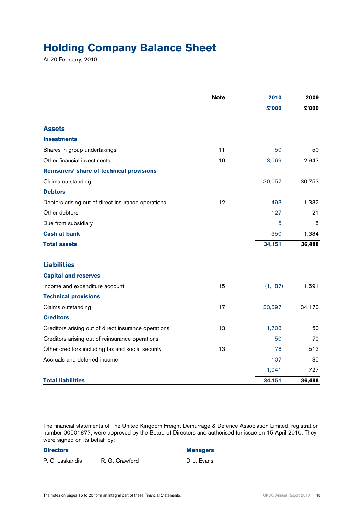### **Holding Company Balance Sheet**

At 20 February, 2010

|                                                      | <b>Note</b> | 2010     | 2009   |
|------------------------------------------------------|-------------|----------|--------|
|                                                      |             | \$'000   | £'000  |
| <b>Assets</b>                                        |             |          |        |
| <b>Investments</b>                                   |             |          |        |
| Shares in group undertakings                         | 11          | 50       | 50     |
| Other financial investments                          | 10          | 3,069    | 2,943  |
| Reinsurers' share of technical provisions            |             |          |        |
| Claims outstanding                                   |             | 30,057   | 30,753 |
| <b>Debtors</b>                                       |             |          |        |
| Debtors arising out of direct insurance operations   | 12          | 493      | 1,332  |
| Other debtors                                        |             | 127      | 21     |
| Due from subsidiary                                  |             | 5        | 5      |
| <b>Cash at bank</b>                                  |             | 350      | 1,384  |
| <b>Total assets</b>                                  |             | 34,151   | 36,488 |
|                                                      |             |          |        |
| <b>Liabilities</b>                                   |             |          |        |
| <b>Capital and reserves</b>                          |             |          |        |
| Income and expenditure account                       | 15          | (1, 187) | 1,591  |
| <b>Technical provisions</b>                          |             |          |        |
| Claims outstanding                                   | 17          | 33,397   | 34,170 |
| <b>Creditors</b>                                     |             |          |        |
| Creditors arising out of direct insurance operations | 13          | 1,708    | 50     |
| Creditors arising out of reinsurance operations      |             | 50       | 79     |
| Other creditors including tax and social security    | 13          | 76       | 513    |
| Accruals and deferred income                         |             | 107      | 85     |
|                                                      |             | 1,941    | 727    |
| <b>Total liabilities</b>                             |             | 34,151   | 36,488 |

The financial statements of The United Kingdom Freight Demurrage & Defence Association Limited, registration number 00501877, were approved by the Board of Directors and authorised for issue on 15 April 2010. They were signed on its behalf by:

P. C. Laskaridis R. G. Crawford D. J. Evans

#### **Directors Managers**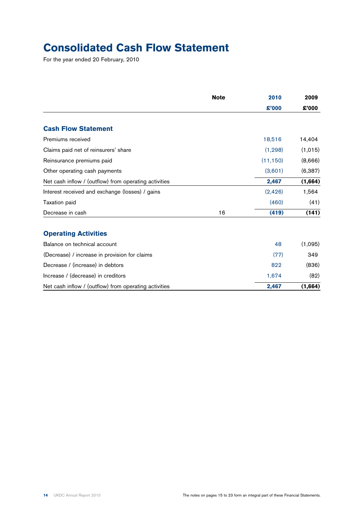## **Consolidated Cash Flow Statement**

For the year ended 20 February, 2010

|                                                       | <b>Note</b> | 2010      | 2009     |
|-------------------------------------------------------|-------------|-----------|----------|
|                                                       |             | £'000     | £'000    |
| <b>Cash Flow Statement</b>                            |             |           |          |
| Premiums received                                     |             | 18,516    | 14,404   |
| Claims paid net of reinsurers' share                  |             | (1, 298)  | (1,015)  |
| Reinsurance premiums paid                             |             | (11, 150) | (8,666)  |
| Other operating cash payments                         |             | (3,601)   | (6, 387) |
| Net cash inflow / (outflow) from operating activities |             | 2,467     | (1,664)  |
| Interest received and exchange (losses) / gains       |             | (2, 426)  | 1,564    |
| <b>Taxation paid</b>                                  |             | (460)     | (41)     |
| Decrease in cash                                      | 16          | (419)     | (141)    |
| <b>Operating Activities</b>                           |             |           |          |
| Balance on technical account                          |             | 48        | (1,095)  |
| (Decrease) / increase in provision for claims         |             | (77)      | 349      |
| Decrease / (increase) in debtors                      |             | 822       | (836)    |
| Increase / (decrease) in creditors                    |             | 1,674     | (82)     |
| Net cash inflow / (outflow) from operating activities |             | 2,467     | (1,664)  |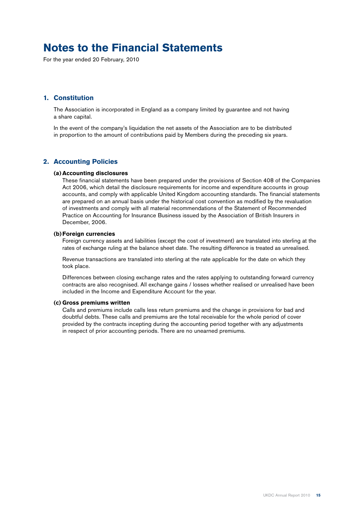### **Notes to the Financial Statements**

For the year ended 20 February, 2010

#### **1. Constitution**

 The Association is incorporated in England as a company limited by guarantee and not having a share capital.

 In the event of the company's liquidation the net assets of the Association are to be distributed in proportion to the amount of contributions paid by Members during the preceding six years.

#### **2. Accounting Policies**

#### **(a) Accounting disclosures**

 These financial statements have been prepared under the provisions of Section 408 of the Companies Act 2006, which detail the disclosure requirements for income and expenditure accounts in group accounts, and comply with applicable United Kingdom accounting standards. The financial statements are prepared on an annual basis under the historical cost convention as modified by the revaluation of investments and comply with all material recommendations of the Statement of Recommended Practice on Accounting for Insurance Business issued by the Association of British Insurers in December, 2006.

#### **(b)Foreign currencies**

 Foreign currency assets and liabilities (except the cost of investment) are translated into sterling at the rates of exchange ruling at the balance sheet date. The resulting difference is treated as unrealised.

 Revenue transactions are translated into sterling at the rate applicable for the date on which they took place.

 Differences between closing exchange rates and the rates applying to outstanding forward currency contracts are also recognised. All exchange gains / losses whether realised or unrealised have been included in the Income and Expenditure Account for the year.

#### **(c) Gross premiums written**

 Calls and premiums include calls less return premiums and the change in provisions for bad and doubtful debts. These calls and premiums are the total receivable for the whole period of cover provided by the contracts incepting during the accounting period together with any adjustments in respect of prior accounting periods. There are no unearned premiums.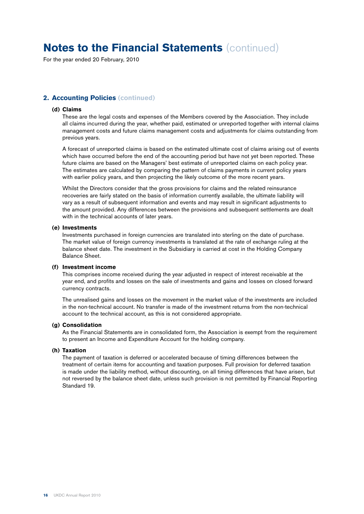For the year ended 20 February, 2010

#### **2. Accounting Policies (continued)**

#### **(d) Claims**

 These are the legal costs and expenses of the Members covered by the Association. They include all claims incurred during the year, whether paid, estimated or unreported together with internal claims management costs and future claims management costs and adjustments for claims outstanding from previous years.

 A forecast of unreported claims is based on the estimated ultimate cost of claims arising out of events which have occurred before the end of the accounting period but have not yet been reported. These future claims are based on the Managers' best estimate of unreported claims on each policy year. The estimates are calculated by comparing the pattern of claims payments in current policy years with earlier policy years, and then projecting the likely outcome of the more recent years.

 Whilst the Directors consider that the gross provisions for claims and the related reinsurance recoveries are fairly stated on the basis of information currently available, the ultimate liability will vary as a result of subsequent information and events and may result in significant adjustments to the amount provided. Any differences between the provisions and subsequent settlements are dealt with in the technical accounts of later years.

#### **(e) Investments**

 Investments purchased in foreign currencies are translated into sterling on the date of purchase. The market value of foreign currency investments is translated at the rate of exchange ruling at the balance sheet date. The investment in the Subsidiary is carried at cost in the Holding Company Balance Sheet.

#### **(f) Investment income**

 This comprises income received during the year adjusted in respect of interest receivable at the year end, and profits and losses on the sale of investments and gains and losses on closed forward currency contracts.

 The unrealised gains and losses on the movement in the market value of the investments are included in the non-technical account. No transfer is made of the investment returns from the non-technical account to the technical account, as this is not considered appropriate.

#### **(g) Consolidation**

 As the Financial Statements are in consolidated form, the Association is exempt from the requirement to present an Income and Expenditure Account for the holding company.

#### **(h) Taxation**

 The payment of taxation is deferred or accelerated because of timing differences between the treatment of certain items for accounting and taxation purposes. Full provision for deferred taxation is made under the liability method, without discounting, on all timing differences that have arisen, but not reversed by the balance sheet date, unless such provision is not permitted by Financial Reporting Standard 19.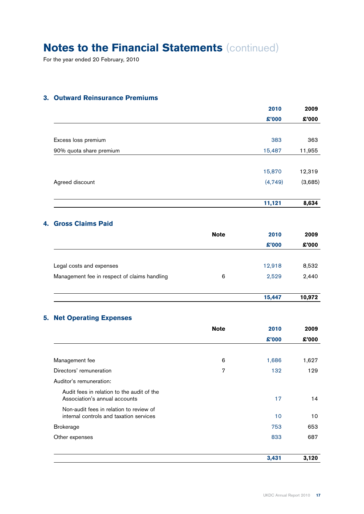For the year ended 20 February, 2010

### **3. Outward Reinsurance Premiums**

|                         | 2010    | 2009    |
|-------------------------|---------|---------|
|                         | £'000   | £'000   |
|                         |         |         |
| Excess loss premium     | 383     | 363     |
| 90% quota share premium | 15,487  | 11,955  |
|                         |         |         |
|                         | 15,870  | 12,319  |
| Agreed discount         | (4,749) | (3,685) |
|                         |         |         |
|                         | 11,121  | 8,634   |

### **4. Gross Claims Paid**

|                                              | <b>Note</b> | 2010   | 2009   |  |  |       |
|----------------------------------------------|-------------|--------|--------|--|--|-------|
|                                              |             | \$'000 |        |  |  | £'000 |
|                                              |             |        |        |  |  |       |
| Legal costs and expenses                     |             | 12,918 | 8,532  |  |  |       |
| Management fee in respect of claims handling | 6           | 2,529  | 2,440  |  |  |       |
|                                              |             |        |        |  |  |       |
|                                              |             | 15,447 | 10,972 |  |  |       |

### **5. Net Operating Expenses**

|                                                                                    | <b>Note</b> | 2010   | 2009  |
|------------------------------------------------------------------------------------|-------------|--------|-------|
|                                                                                    |             | \$3000 | £'000 |
|                                                                                    |             |        |       |
| Management fee                                                                     | 6           | 1,686  | 1,627 |
| Directors' remuneration                                                            | 7           | 132    | 129   |
| Auditor's remuneration:                                                            |             |        |       |
| Audit fees in relation to the audit of the<br>Association's annual accounts        |             | 17     | 14    |
| Non-audit fees in relation to review of<br>internal controls and taxation services |             | 10     | 10    |
| <b>Brokerage</b>                                                                   |             | 753    | 653   |
| Other expenses                                                                     |             | 833    | 687   |
|                                                                                    |             | 3,431  | 3,120 |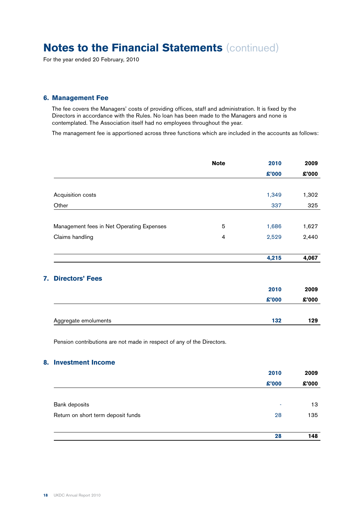For the year ended 20 February, 2010

#### **6. Management Fee**

 The fee covers the Managers' costs of providing offices, staff and administration. It is fixed by the Directors in accordance with the Rules. No loan has been made to the Managers and none is contemplated. The Association itself had no employees throughout the year.

The management fee is apportioned across three functions which are included in the accounts as follows:

|                                           | <b>Note</b>    | 2010   | 2009  |
|-------------------------------------------|----------------|--------|-------|
|                                           |                | £'000  | £'000 |
|                                           |                |        |       |
| Acquisition costs                         |                | 1,349  | 1,302 |
| Other                                     |                | 337    | 325   |
| Management fees in Net Operating Expenses | 5              | 1,686  | 1,627 |
| Claims handling                           | $\overline{4}$ | 2,529  | 2,440 |
|                                           |                | 4,215  | 4,067 |
| <b>Directors' Fees</b><br>7.              |                |        |       |
|                                           |                | 2010   | 2009  |
|                                           |                | \$'000 | £'000 |
| Aggregate emoluments                      |                | 132    | 129   |

Pension contributions are not made in respect of any of the Directors.

#### **8. Investment Income**

|                                    | 2010  | 2009  |
|------------------------------------|-------|-------|
|                                    | £'000 | £'000 |
|                                    |       |       |
| Bank deposits                      | ۰     | 13    |
| Return on short term deposit funds | 28    | 135   |
|                                    | 28    | 148   |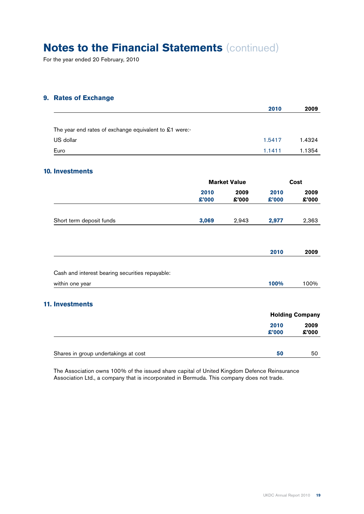For the year ended 20 February, 2010

#### **9. Rates of Exchange**

|                                                        |               |                     | 2010          | 2009                   |
|--------------------------------------------------------|---------------|---------------------|---------------|------------------------|
| The year end rates of exchange equivalent to £1 were:- |               |                     |               |                        |
| US dollar                                              |               |                     | 1.5417        | 1.4324                 |
| Euro                                                   |               |                     | 1.1411        | 1.1354                 |
| <b>10. Investments</b>                                 |               |                     |               |                        |
|                                                        |               | <b>Market Value</b> |               | <b>Cost</b>            |
|                                                        | 2010<br>£'000 | 2009<br>£'000       | 2010<br>£'000 | 2009<br>£'000          |
| Short term deposit funds                               | 3,069         | 2,943               | 2,977         | 2,363                  |
|                                                        |               |                     | 2010          | 2009                   |
| Cash and interest bearing securities repayable:        |               |                     |               |                        |
| within one year                                        |               |                     | 100%          | 100%                   |
| <b>11. Investments</b>                                 |               |                     |               |                        |
|                                                        |               |                     |               | <b>Holding Company</b> |
|                                                        |               |                     | 2010<br>£'000 | 2009<br>£'000          |
| Shares in group undertakings at cost                   |               |                     | 50            | 50                     |

 The Association owns 100% of the issued share capital of United Kingdom Defence Reinsurance Association Ltd., a company that is incorporated in Bermuda. This company does not trade.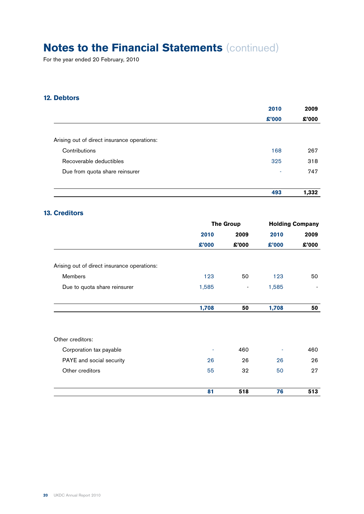For the year ended 20 February, 2010

### **12. Debtors**

|                                             | 2010   | 2009  |
|---------------------------------------------|--------|-------|
|                                             | \$'000 | £'000 |
|                                             |        |       |
| Arising out of direct insurance operations: |        |       |
| Contributions                               | 168    | 267   |
| Recoverable deductibles                     | 325    | 318   |
| Due from quota share reinsurer              | ٠      | 747   |
|                                             |        |       |
|                                             | 493    | 1,332 |
|                                             |        |       |

### **13. Creditors**

|                                             | <b>The Group</b> |                          | <b>Holding Company</b> |                          |
|---------------------------------------------|------------------|--------------------------|------------------------|--------------------------|
|                                             | 2010             | 2009                     | 2010                   | 2009                     |
|                                             | £'000            | £'000                    | £'000                  | £'000                    |
| Arising out of direct insurance operations: |                  |                          |                        |                          |
| Members                                     | 123              | 50                       | 123                    | 50                       |
| Due to quota share reinsurer                | 1,585            | $\overline{\phantom{a}}$ | 1,585                  | $\overline{\phantom{a}}$ |
|                                             | 1,708            | 50                       | 1,708                  | 50                       |
| Other creditors:                            |                  |                          |                        |                          |
| Corporation tax payable                     |                  | 460                      |                        | 460                      |
| PAYE and social security                    | 26               | 26                       | 26                     | 26                       |
| Other creditors                             | 55               | 32                       | 50                     | 27                       |
|                                             | 81               | 518                      | 76                     | 513                      |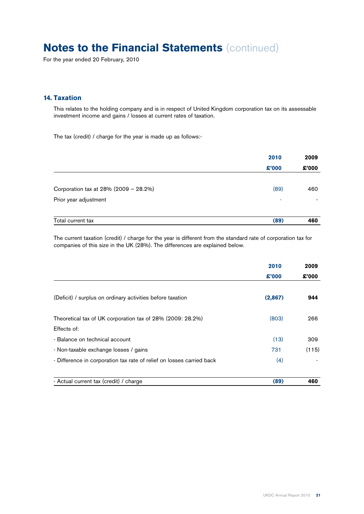For the year ended 20 February, 2010

#### **14. Taxation**

 This relates to the holding company and is in respect of United Kingdom corporation tax on its assessable investment income and gains / losses at current rates of taxation.

The tax (credit) / charge for the year is made up as follows:-

|                                       | 2010   | 2009<br>£'000 |
|---------------------------------------|--------|---------------|
|                                       | \$'000 |               |
| Corporation tax at 28% (2009 - 28.2%) | (89)   | 460           |
| Prior year adjustment                 | ۰      |               |
| Total current tax                     | (89)   | 460           |

 The current taxation (credit) / charge for the year is different from the standard rate of corporation tax for companies of this size in the UK (28%). The differences are explained below.

|                                                                       | 2010<br>\$'000 | 2009  |  |
|-----------------------------------------------------------------------|----------------|-------|--|
|                                                                       |                | £'000 |  |
| (Deficit) / surplus on ordinary activities before taxation            | (2,867)        | 944   |  |
| Theoretical tax of UK corporation tax of 28% (2009: 28.2%)            | (803)          | 266   |  |
| Effects of:                                                           |                |       |  |
| - Balance on technical account                                        | (13)           | 309   |  |
| - Non-taxable exchange losses / gains                                 | 731            | (115) |  |
| - Difference in corporation tax rate of relief on losses carried back | (4)            |       |  |
| - Actual current tax (credit) / charge                                | (89)           | 460   |  |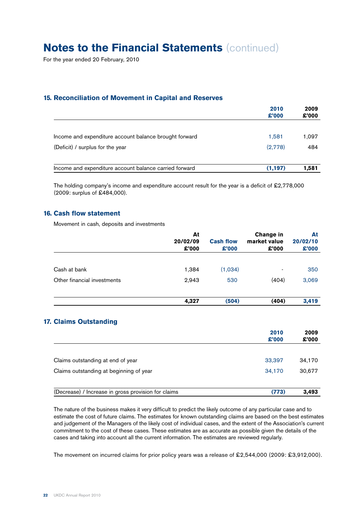For the year ended 20 February, 2010

#### **15. Reconciliation of Movement in Capital and Reserves**

|                                                        | 2010<br>£'000 | 2009<br>£'000 |
|--------------------------------------------------------|---------------|---------------|
| Income and expenditure account balance brought forward | 1,581         | 1.097         |
| (Deficit) / surplus for the year                       | (2,778)       | 484           |
| Income and expenditure account balance carried forward | (1, 197)      | 1.581         |

The holding company's income and expenditure account result for the year is a deficit of £2,778,000 (2009: surplus of £484,000).

#### **16. Cash flow statement**

Movement in cash, deposits and investments

|                             | At<br>20/02/09<br>£'000 | <b>Cash flow</b><br>\$'000 | Change in<br>market value<br>\$'000 | At<br>20/02/10<br>\$'000 |
|-----------------------------|-------------------------|----------------------------|-------------------------------------|--------------------------|
| Cash at bank                | 1,384                   | (1,034)                    | ۰                                   | 350                      |
| Other financial investments | 2,943                   | 530                        | (404)                               | 3,069                    |
|                             | 4,327                   | (504)                      | (404)                               | 3,419                    |

|                                                     | 2010<br>\$'000 | 2009<br>£'000 |
|-----------------------------------------------------|----------------|---------------|
| Claims outstanding at end of year                   | 33,397         | 34,170        |
| Claims outstanding at beginning of year             | 34,170         | 30.677        |
| (Decrease) / Increase in gross provision for claims | (773)          | 3.493         |

 The nature of the business makes it very difficult to predict the likely outcome of any particular case and to estimate the cost of future claims. The estimates for known outstanding claims are based on the best estimates and judgement of the Managers of the likely cost of individual cases, and the extent of the Association's current commitment to the cost of these cases. These estimates are as accurate as possible given the details of the cases and taking into account all the current information. The estimates are reviewed regularly.

The movement on incurred claims for prior policy years was a release of £2,544,000 (2009: £3,912,000).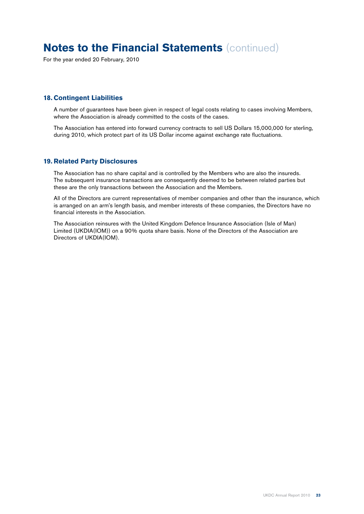For the year ended 20 February, 2010

#### **18. Contingent Liabilities**

 A number of guarantees have been given in respect of legal costs relating to cases involving Members, where the Association is already committed to the costs of the cases.

 The Association has entered into forward currency contracts to sell US Dollars 15,000,000 for sterling, during 2010, which protect part of its US Dollar income against exchange rate fluctuations.

#### **19. Related Party Disclosures**

 The Association has no share capital and is controlled by the Members who are also the insureds. The subsequent insurance transactions are consequently deemed to be between related parties but these are the only transactions between the Association and the Members.

 All of the Directors are current representatives of member companies and other than the insurance, which is arranged on an arm's length basis, and member interests of these companies, the Directors have no financial interests in the Association.

 The Association reinsures with the United Kingdom Defence Insurance Association (Isle of Man) Limited (UKDIA(IOM)) on a 90% quota share basis. None of the Directors of the Association are Directors of UKDIA(IOM).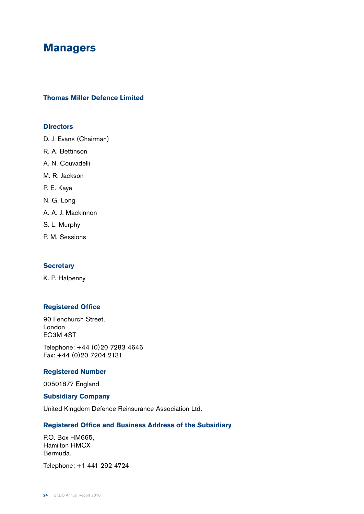### **Managers**

#### **Thomas Miller Defence Limited**

#### **Directors**

D. J. Evans (Chairman)

- R. A. Bettinson
- A. N. Couvadelli
- M. R. Jackson
- P. E. Kaye
- N. G. Long
- A. A. J. Mackinnon
- S. L. Murphy
- P. M. Sessions

#### **Secretary**

K. P. Halpenny

#### **Registered Office**

90 Fenchurch Street, London EC3M 4ST

Telephone: +44 (0)20 7283 4646 Fax: +44 (0)20 7204 2131

#### **Registered Number**

00501877 England

#### **Subsidiary Company**

United Kingdom Defence Reinsurance Association Ltd.

#### **Registered Office and Business Address of the Subsidiary**

P.O. Box HM665, Hamilton HMCX Bermuda.

Telephone: +1 441 292 4724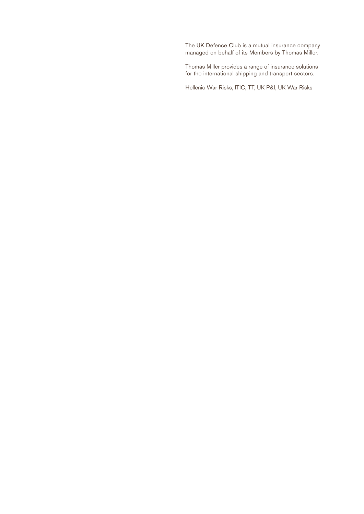The UK Defence Club is a mutual insurance company managed on behalf of its Members by Thomas Miller.

Thomas Miller provides a range of insurance solutions for the international shipping and transport sectors.

Hellenic War Risks, ITIC, TT, UK P&I, UK War Risks